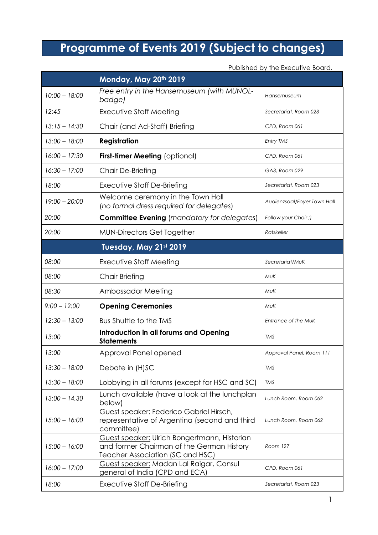## **Programme of Events 2019 (Subject to changes)**

Published by the Executive Board.

|                 | Monday, May 20th 2019                                                                                                         |                             |
|-----------------|-------------------------------------------------------------------------------------------------------------------------------|-----------------------------|
| $10:00 - 18:00$ | Free entry in the Hansemuseum (with MUNOL-<br>badge)                                                                          | Hansemuseum                 |
| 12:45           | Executive Staff Meeting                                                                                                       | Secretariat, Room 023       |
| $13:15 - 14:30$ | Chair (and Ad-Staff) Briefing                                                                                                 | CPD, Room 061               |
| $13:00 - 18:00$ | <b>Registration</b>                                                                                                           | Entry TMS                   |
| $16:00 - 17:30$ | <b>First-timer Meeting (optional)</b>                                                                                         | CPD, Room 061               |
| $16:30 - 17:00$ | Chair De-Briefing                                                                                                             | GA3, Room 029               |
| 18:00           | Executive Staff De-Briefing                                                                                                   | Secretariat, Room 023       |
| $19:00 - 20:00$ | Welcome ceremony in the Town Hall<br>(no formal dress required for delegates)                                                 | Audienzsaal/Foyer Town Hall |
| 20:00           | <b>Committee Evening</b> (mandatory for delegates)                                                                            | Follow your Chair ;)        |
| 20:00           | <b>MUN-Directors Get Together</b>                                                                                             | Ratskeller                  |
|                 | Tuesday, May 21st 2019                                                                                                        |                             |
| 08:00           | <b>Executive Staff Meeting</b>                                                                                                |                             |
| 08:00           | Chair Briefing                                                                                                                | MuK                         |
| 08:30           | Ambassador Meeting                                                                                                            | <b>MUK</b>                  |
| $9:00 - 12:00$  | <b>Opening Ceremonies</b>                                                                                                     | MuK                         |
| $12:30 - 13:00$ | <b>Bus Shuttle to the TMS</b>                                                                                                 | Entrance of the MuK         |
| 13:00           | Introduction in all forums and Opening<br><b>Statements</b>                                                                   | TMS                         |
| 13:00           | Approval Panel opened                                                                                                         | Approval Panel, Room 111    |
| $13:30 - 18:00$ | Debate in (H)SC<br>TMS                                                                                                        |                             |
| $13:30 - 18:00$ | Lobbying in all forums (except for HSC and SC)                                                                                | <b>TMS</b>                  |
| $13:00 - 14.30$ | Lunch available (have a look at the lunchplan<br>below)                                                                       | Lunch Room, Room 062        |
| $15:00 - 16:00$ | Guest speaker: Federico Gabriel Hirsch,<br>representative of Argentina (second and third<br>committee)                        | Lunch Room, Room 062        |
| $15:00 - 16:00$ | Guest speaker: Ulrich Bongertmann, Historian<br>and former Chairman of the German History<br>Teacher Association (SC and HSC) | Room 127                    |
| $16:00 - 17:00$ | Guest speaker: Madan Lal Raigar, Consul<br>general of India (CPD and ECA)                                                     | CPD, Room 061               |
| 18:00           | Executive Staff De-Briefing                                                                                                   | Secretariat, Room 023       |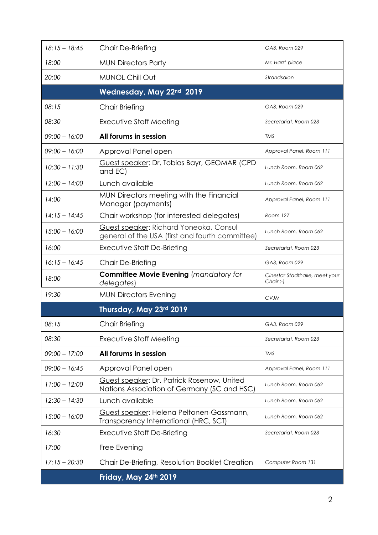| $18:15 - 18:45$ | Chair De-Briefing                                                                         | GA3, Room 029                            |
|-----------------|-------------------------------------------------------------------------------------------|------------------------------------------|
| 18:00           | <b>MUN Directors Party</b>                                                                | Mr. Harz' place                          |
| 20:00           | <b>MUNOL Chill Out</b>                                                                    | Strandsalon                              |
|                 | Wednesday, May 22nd 2019                                                                  |                                          |
| 08:15           | Chair Briefing                                                                            | GA3, Room 029                            |
| 08:30           | Executive Staff Meeting                                                                   | Secretariat, Room 023                    |
| $09:00 - 16:00$ | All forums in session                                                                     | TMS                                      |
| 09:00 - 16:00   | Approval Panel open                                                                       | Approval Panel, Room 111                 |
| $10:30 - 11:30$ | Guest speaker: Dr. Tobias Bayr, GEOMAR (CPD<br>and EC)                                    | Lunch Room, Room 062                     |
| $12:00 - 14:00$ | Lunch available                                                                           | Lunch Room, Room 062                     |
| 14:00           | MUN Directors meeting with the Financial<br>Manager (payments)                            | Approval Panel, Room 111                 |
| $14:15 - 14:45$ | Chair workshop (for interested delegates)                                                 | Room 127                                 |
| $15:00 - 16:00$ | Guest speaker: Richard Yoneoka, Consul<br>general of the USA (first and fourth committee) | Lunch Room, Room 062                     |
| 16:00           | Executive Staff De-Briefing                                                               | Secretariat, Room 023                    |
| $16:15 - 16:45$ | Chair De-Briefing                                                                         | GA3, Room 029                            |
| 18:00           | <b>Committee Movie Evening (mandatory for</b><br>delegates)                               | Cinestar Stadthalle, meet your<br>Chair: |
| 19:30           | <b>MUN Directors Evening</b>                                                              | <b>CVJM</b>                              |
|                 | Thursday, May 23rd 2019                                                                   |                                          |
| 08:15           | Chair Briefing                                                                            | GA3, Room 029                            |
| 08:30           | Executive Staff Meeting                                                                   | Secretariat, Room 023                    |
| $09:00 - 17:00$ | All forums in session                                                                     | TMS                                      |
| $09:00 - 16:45$ | Approval Panel open                                                                       | Approval Panel, Room 111                 |
| $11:00 - 12:00$ | Guest speaker: Dr. Patrick Rosenow, United<br>Nations Association of Germany (SC and HSC) | Lunch Room, Room 062                     |
| $12:30 - 14:30$ | Lunch available                                                                           | Lunch Room, Room 062                     |
| $15:00 - 16:00$ | Guest speaker: Helena Peltonen-Gassmann,<br>Transparency International (HRC, SCT)         | Lunch Room, Room 062                     |
| 16:30           | Executive Staff De-Briefing                                                               | Secretariat, Room 023                    |
| 17:00           | Free Evening                                                                              |                                          |
| $17:15 - 20:30$ | Chair De-Briefing, Resolution Booklet Creation                                            | Computer Room 131                        |
|                 |                                                                                           |                                          |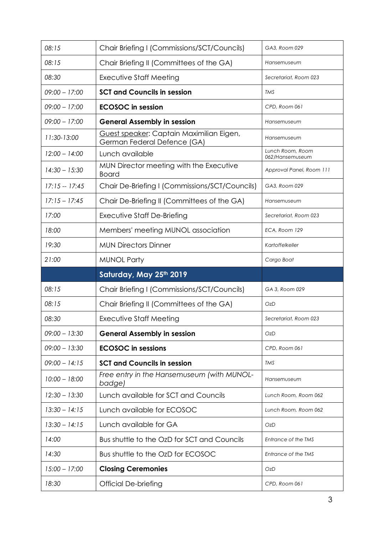| 08:15           | Chair Briefing I (Commissions/SCT/Councils)                             | GA3, Room 029                       |
|-----------------|-------------------------------------------------------------------------|-------------------------------------|
| 08:15           | Chair Briefing II (Committees of the GA)                                | Hansemuseum                         |
| 08:30           | <b>Executive Staff Meeting</b>                                          | Secretariat, Room 023               |
| $09:00 - 17:00$ | <b>SCT and Councils in session</b>                                      | TMS                                 |
| $09:00 - 17:00$ | <b>ECOSOC</b> in session                                                | CPD, Room 061                       |
| $09:00 - 17:00$ | <b>General Assembly in session</b>                                      | Hansemuseum                         |
| 11:30-13:00     | Guest speaker: Captain Maximilian Eigen,<br>German Federal Defence (GA) | Hansemuseum                         |
| $12:00 - 14:00$ | Lunch available                                                         | Lunch Room, Room<br>062/Hansemuseum |
| $14:30 - 15:30$ | MUN Director meeting with the Executive<br><b>Board</b>                 | Approval Panel, Room 111            |
| $17:15 - 17:45$ | Chair De-Briefing I (Commissions/SCT/Councils)                          | GA3, Room 029                       |
| $17:15 - 17:45$ | Chair De-Briefing II (Committees of the GA)                             | Hansemuseum                         |
| 17:00           | <b>Executive Staff De-Briefing</b>                                      | Secretariat, Room 023               |
| 18:00           | Members' meeting MUNOL association                                      | ECA, Room 129                       |
| 19:30           | <b>MUN Directors Dinner</b>                                             | Kartoffelkeller                     |
| 21:00           | <b>MUNOL Party</b>                                                      | Cargo Boat                          |
|                 |                                                                         |                                     |
|                 | Saturday, May 25th 2019                                                 |                                     |
| 08:15           | Chair Briefing I (Commissions/SCT/Councils)                             | GA 3, Room 029                      |
| 08:15           | Chair Briefing II (Committees of the GA)                                | OzD                                 |
| 08:30           | <b>Executive Staff Meeting</b>                                          | Secretariat, Room 023               |
| $09:00 - 13:30$ | <b>General Assembly in session</b>                                      | OzD                                 |
| $09:00 - 13:30$ | <b>ECOSOC</b> in sessions                                               | CPD, Room 061                       |
| $09:00 - 14:15$ | <b>SCT and Councils in session</b>                                      | TMS                                 |
| $10:00 - 18:00$ | Free entry in the Hansemuseum (with MUNOL-<br>badge)                    | Hansemuseum                         |
| $12:30 - 13:30$ | Lunch available for SCT and Councils                                    | Lunch Room, Room 062                |
| $13:30 - 14:15$ | Lunch available for ECOSOC                                              | Lunch Room, Room 062                |
| $13:30 - 14:15$ | Lunch available for GA                                                  | <b>OzD</b>                          |
| 14:00           | Bus shuttle to the OzD for SCT and Councils                             | Entrance of the TMS                 |
| 14:30           | Bus shuttle to the OzD for ECOSOC                                       | Entrance of the TMS                 |
| $15:00 - 17:00$ | <b>Closing Ceremonies</b>                                               | <b>OzD</b>                          |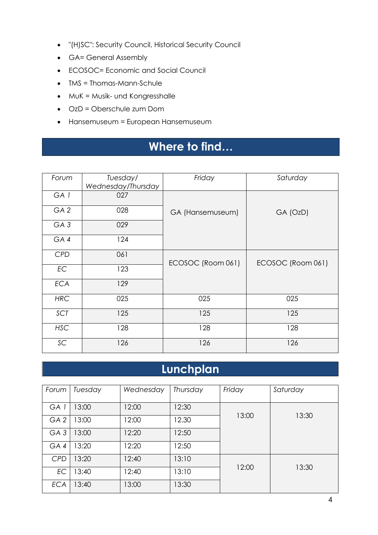- "(H)SC": Security Council, Historical Security Council
- GA= General Assembly
- ECOSOC= Economic and Social Council
- TMS = Thomas-Mann-Schule
- MuK = Musik- und Kongresshalle
- OzD = Oberschule zum Dom
- Hansemuseum = European Hansemuseum

## **Where to find…**

| Friday<br>Saturday<br>Tuesday/<br>Forum<br>Wednesday/Thursday<br>GA <sub>1</sub><br>027<br>028<br>GA <sub>2</sub><br>GA (Hansemuseum)<br>GA (OzD)<br>029<br>GA <sub>3</sub><br>124<br>GA4<br><b>CPD</b><br>061<br>ECOSOC (Room 061)<br>ECOSOC (Room 061)<br><b>EC</b><br>123 |  |
|------------------------------------------------------------------------------------------------------------------------------------------------------------------------------------------------------------------------------------------------------------------------------|--|
|                                                                                                                                                                                                                                                                              |  |
|                                                                                                                                                                                                                                                                              |  |
|                                                                                                                                                                                                                                                                              |  |
|                                                                                                                                                                                                                                                                              |  |
|                                                                                                                                                                                                                                                                              |  |
|                                                                                                                                                                                                                                                                              |  |
|                                                                                                                                                                                                                                                                              |  |
|                                                                                                                                                                                                                                                                              |  |
|                                                                                                                                                                                                                                                                              |  |
|                                                                                                                                                                                                                                                                              |  |
|                                                                                                                                                                                                                                                                              |  |
|                                                                                                                                                                                                                                                                              |  |
|                                                                                                                                                                                                                                                                              |  |
|                                                                                                                                                                                                                                                                              |  |
|                                                                                                                                                                                                                                                                              |  |
|                                                                                                                                                                                                                                                                              |  |
|                                                                                                                                                                                                                                                                              |  |
| <b>ECA</b><br>129                                                                                                                                                                                                                                                            |  |
|                                                                                                                                                                                                                                                                              |  |
| <b>HRC</b><br>025<br>025<br>025                                                                                                                                                                                                                                              |  |
|                                                                                                                                                                                                                                                                              |  |
| 125<br>125<br>SCT<br>125                                                                                                                                                                                                                                                     |  |
|                                                                                                                                                                                                                                                                              |  |
|                                                                                                                                                                                                                                                                              |  |
| <b>HSC</b><br>128<br>128<br>128                                                                                                                                                                                                                                              |  |
|                                                                                                                                                                                                                                                                              |  |
| SC<br>126<br>126<br>126                                                                                                                                                                                                                                                      |  |
|                                                                                                                                                                                                                                                                              |  |

## **Lunchplan**

| Forum           | Tuesday | Wednesday | Thursday | Friday | Saturday |
|-----------------|---------|-----------|----------|--------|----------|
| GA 1            | 13:00   | 12:00     | 12:30    |        |          |
| GA <sub>2</sub> | 13:00   | 12:00     | 12.30    | 13:00  | 13:30    |
| GA <sub>3</sub> | 13:00   | 12:20     | 12:50    |        |          |
| GA4             | 13:20   | 12:20     | 12:50    |        |          |
| <b>CPD</b>      | 13:20   | 12:40     | 13:10    |        |          |
| EC              | 3:40    | 12:40     | 13:10    | 12:00  | 13:30    |
| <b>ECA</b>      | 13:40   | 13:00     | 13:30    |        |          |